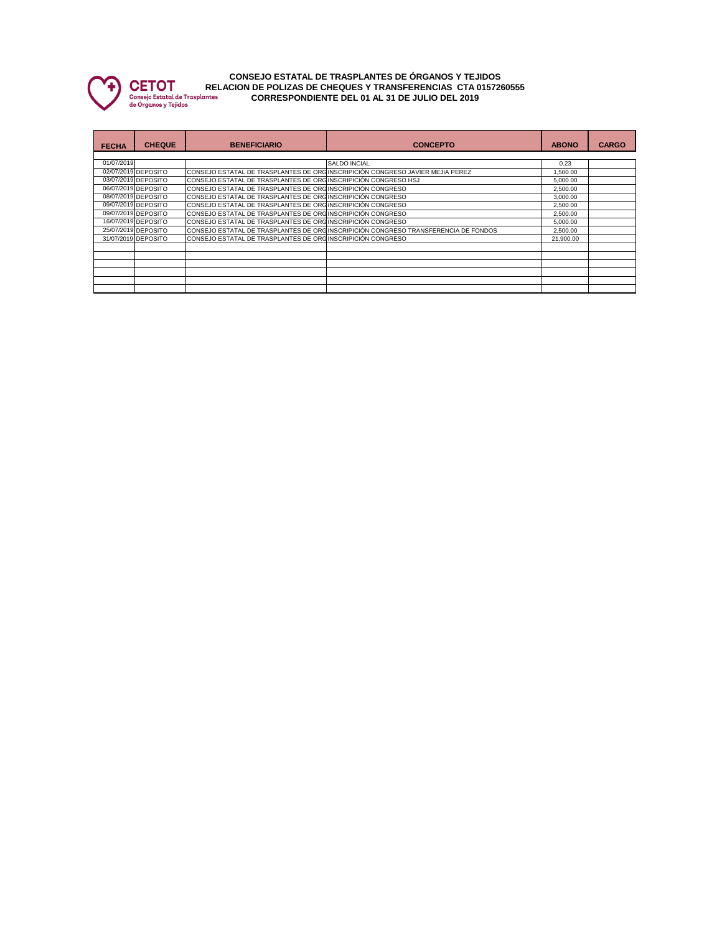

## **CONSEJO ESTATAL DE TRASPLANTES DE ÓRGANOS Y TEJIDOS RELACION DE POLIZAS DE CHEQUES Y TRANSFERENCIAS CTA 0157260555 CORRESPONDIENTE DEL 01 AL 31 DE JULIO DEL 2019**

| <b>FECHA</b> | <b>CHEQUE</b>       | <b>BENEFICIARIO</b>                                            | <b>CONCEPTO</b>                                                                    | <b>ABONO</b> | <b>CARGO</b> |
|--------------|---------------------|----------------------------------------------------------------|------------------------------------------------------------------------------------|--------------|--------------|
|              |                     |                                                                |                                                                                    |              |              |
| 01/07/2019   |                     |                                                                | SALDO INCIAL                                                                       | 0.23         |              |
|              | 02/07/2019 DEPOSITO |                                                                | CONSEJO ESTATAL DE TRASPLANTES DE ORGINSCRIPICIÓN CONGRESO JAVIER MEJIA PEREZ      | 1,500.00     |              |
|              | 03/07/2019 DEPOSITO | CONSEJO ESTATAL DE TRASPLANTES DE ORGINSCRIPICIÓN CONGRESO HSJ |                                                                                    | 5,000.00     |              |
|              | 06/07/2019 DEPOSITO | CONSEJO ESTATAL DE TRASPLANTES DE ORGINSCRIPICIÓN CONGRESO     |                                                                                    | 2,500.00     |              |
|              | 08/07/2019 DEPOSITO | CONSEJO ESTATAL DE TRASPLANTES DE ORGINSCRIPICIÓN CONGRESO     |                                                                                    | 3,000.00     |              |
|              | 09/07/2019 DEPOSITO | CONSEJO ESTATAL DE TRASPLANTES DE ORGINSCRIPICIÓN CONGRESO     |                                                                                    | 2.500.00     |              |
|              | 09/07/2019 DEPOSITO | CONSEJO ESTATAL DE TRASPLANTES DE ORGINSCRIPICIÓN CONGRESO     |                                                                                    | 2,500.00     |              |
|              | 16/07/2019 DEPOSITO | CONSEJO ESTATAL DE TRASPLANTES DE ORGINSCRIPICIÓN CONGRESO     |                                                                                    | 5,000.00     |              |
|              | 25/07/2019 DEPOSITO |                                                                | CONSEJO ESTATAL DE TRASPLANTES DE ORGINSCRIPICIÓN CONGRESO TRANSFERENCIA DE FONDOS | 2,500.00     |              |
|              | 31/07/2019 DEPOSITO | CONSEJO ESTATAL DE TRASPLANTES DE ORGINSCRIPICIÓN CONGRESO     |                                                                                    | 21,900.00    |              |
|              |                     |                                                                |                                                                                    |              |              |
|              |                     |                                                                |                                                                                    |              |              |
|              |                     |                                                                |                                                                                    |              |              |
|              |                     |                                                                |                                                                                    |              |              |
|              |                     |                                                                |                                                                                    |              |              |
|              |                     |                                                                |                                                                                    |              |              |